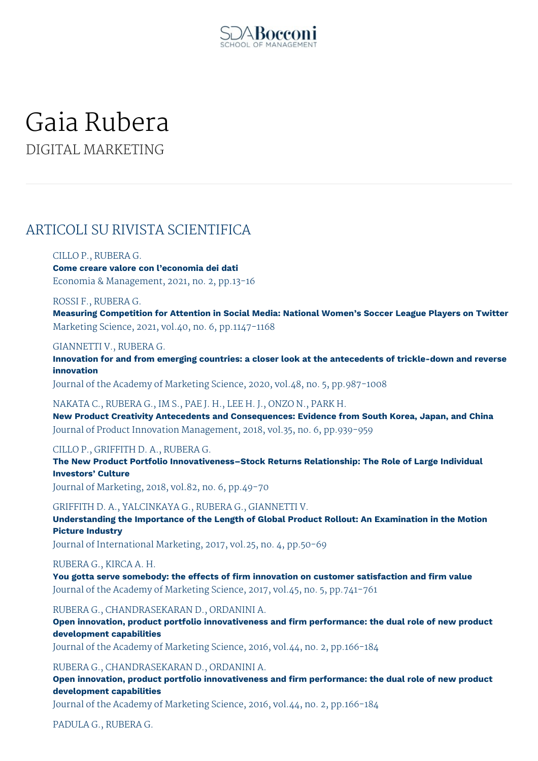

# Gaia Rubera DIGITAL MARKETING

# ARTICOLI SU RIVISTA SCIENTIFICA

#### CILLO P., RUBERA G.

**Come creare valore con l'economia dei dati** Economia & Management, 2021, no. 2, pp.13-16

#### ROSSI F., RUBERA G.

**Measuring Competition for Attention in Social Media: National Women's Soccer League Players on Twitter** Marketing Science, 2021, vol.40, no. 6, pp.1147-1168

#### GIANNETTI V., RUBERA G.

**Innovation for and from emerging countries: a closer look at the antecedents of trickle-down and reverse innovation**

Journal of the Academy of Marketing Science, 2020, vol.48, no. 5, pp.987-1008

#### NAKATA C., RUBERA G., IM S., PAE J. H., LEE H. J., ONZO N., PARK H.

**New Product Creativity Antecedents and Consequences: Evidence from South Korea, Japan, and China** Journal of Product Innovation Management, 2018, vol.35, no. 6, pp.939-959

#### CILLO P., GRIFFITH D. A., RUBERA G.

**The New Product Portfolio Innovativeness–Stock Returns Relationship: The Role of Large Individual Investors' Culture**

Journal of Marketing, 2018, vol.82, no. 6, pp.49-70

GRIFFITH D. A., YALCINKAYA G., RUBERA G., GIANNETTI V. **Understanding the Importance of the Length of Global Product Rollout: An Examination in the Motion Picture Industry**

Journal of International Marketing, 2017, vol.25, no. 4, pp.50-69

#### RUBERA G., KIRCA A. H.

**You gotta serve somebody: the effects of firm innovation on customer satisfaction and firm value** Journal of the Academy of Marketing Science, 2017, vol.45, no. 5, pp.741-761

RUBERA G., CHANDRASEKARAN D., ORDANINI A.

**Open innovation, product portfolio innovativeness and firm performance: the dual role of new product development capabilities**

Journal of the Academy of Marketing Science, 2016, vol.44, no. 2, pp.166-184

RUBERA G., CHANDRASEKARAN D., ORDANINI A.

**Open innovation, product portfolio innovativeness and firm performance: the dual role of new product development capabilities**

Journal of the Academy of Marketing Science, 2016, vol.44, no. 2, pp.166-184

PADULA G., RUBERA G.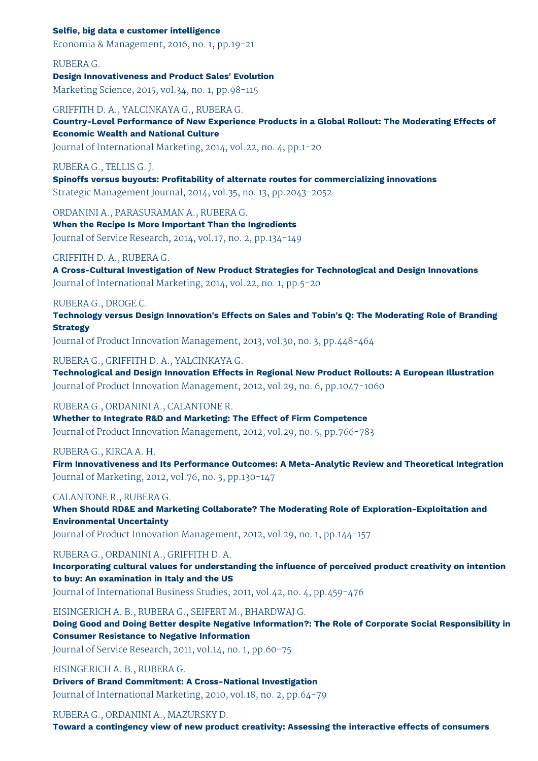#### **Selfie, big data e customer intelligence**

Economia & Management, 2016, no. 1, pp.19-21

RUBERA G.

#### **Design Innovativeness and Product Sales' Evolution**

Marketing Science, 2015, vol.34, no. 1, pp.98-115

#### GRIFFITH D. A., YALCINKAYA G., RUBERA G.

**Country-Level Performance of New Experience Products in a Global Rollout: The Moderating Effects of Economic Wealth and National Culture**

Journal of International Marketing, 2014, vol.22, no. 4, pp.1-20

#### RUBERA G., TELLIS G. J.

**Spinoffs versus buyouts: Profitability of alternate routes for commercializing innovations** Strategic Management Journal, 2014, vol.35, no. 13, pp.2043-2052

ORDANINI A., PARASURAMAN A., RUBERA G.

**When the Recipe Is More Important Than the Ingredients** Journal of Service Research, 2014, vol.17, no. 2, pp.134-149

#### GRIFFITH D. A., RUBERA G.

**A Cross-Cultural Investigation of New Product Strategies for Technological and Design Innovations** Journal of International Marketing, 2014, vol.22, no. 1, pp.5-20

#### RUBERA G., DROGE C.

**Technology versus Design Innovation's Effects on Sales and Tobin's Q: The Moderating Role of Branding Strategy**

Journal of Product Innovation Management, 2013, vol.30, no. 3, pp.448-464

#### RUBERA G., GRIFFITH D. A., YALCINKAYA G.

**Technological and Design Innovation Effects in Regional New Product Rollouts: A European Illustration** Journal of Product Innovation Management, 2012, vol.29, no. 6, pp.1047-1060

#### RUBERA G., ORDANINI A., CALANTONE R.

**Whether to Integrate R&D and Marketing: The Effect of Firm Competence** Journal of Product Innovation Management, 2012, vol.29, no. 5, pp.766-783

#### RUBERA G., KIRCA A. H.

**Firm Innovativeness and Its Performance Outcomes: A Meta-Analytic Review and Theoretical Integration** Journal of Marketing, 2012, vol.76, no. 3, pp.130-147

#### CALANTONE R., RUBERA G.

**When Should RD&E and Marketing Collaborate? The Moderating Role of Exploration-Exploitation and Environmental Uncertainty**

Journal of Product Innovation Management, 2012, vol.29, no. 1, pp.144-157

RUBERA G., ORDANINI A., GRIFFITH D. A.

**Incorporating cultural values for understanding the influence of perceived product creativity on intention to buy: An examination in Italy and the US** Journal of International Business Studies, 2011, vol.42, no. 4, pp.459-476

EISINGERICH A. B., RUBERA G., SEIFERT M., BHARDWAJ G.

**Doing Good and Doing Better despite Negative Information?: The Role of Corporate Social Responsibility in Consumer Resistance to Negative Information**

Journal of Service Research, 2011, vol.14, no. 1, pp.60-75

EISINGERICH A. B., RUBERA G.

**Drivers of Brand Commitment: A Cross-National Investigation** Journal of International Marketing, 2010, vol.18, no. 2, pp.64-79

RUBERA G., ORDANINI A., MAZURSKY D. **Toward a contingency view of new product creativity: Assessing the interactive effects of consumers**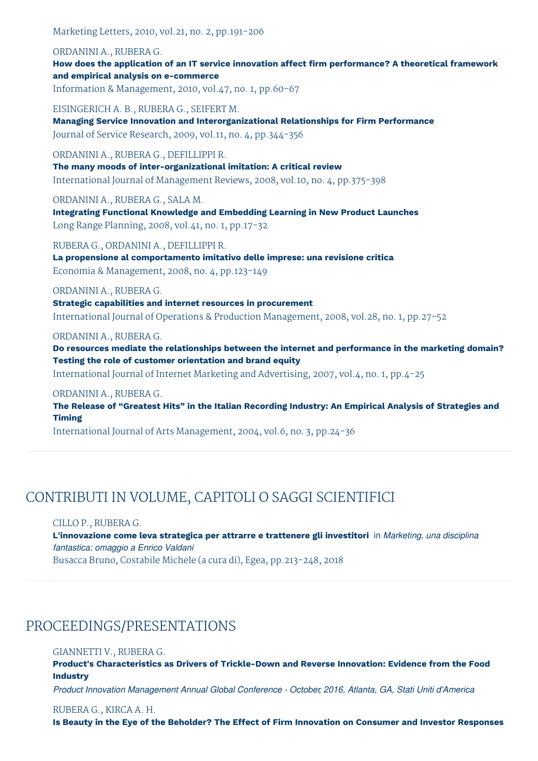Marketing Letters, 2010, vol.21, no. 2, pp.191-206

#### ORDANINI A., RUBERA G.

**How does the application of an IT service innovation affect firm performance? A theoretical framework and empirical analysis on e-commerce** Information & Management, 2010, vol.47, no. 1, pp.60-67

EISINGERICH A. B., RUBERA G., SEIFERT M. **Managing Service Innovation and Interorganizational Relationships for Firm Performance** Journal of Service Research, 2009, vol.11, no. 4, pp.344-356

#### ORDANINI A., RUBERA G., DEFILLIPPI R.

**The many moods of inter-organizational imitation: A critical review** International Journal of Management Reviews, 2008, vol.10, no. 4, pp.375-398

ORDANINI A., RUBERA G., SALA M.

**Integrating Functional Knowledge and Embedding Learning in New Product Launches** Long Range Planning, 2008, vol.41, no. 1, pp.17-32

RUBERA G., ORDANINI A., DEFILLIPPI R.

**La propensione al comportamento imitativo delle imprese: una revisione critica** Economia & Management, 2008, no. 4, pp.123-149

#### ORDANINI A., RUBERA G.

**Strategic capabilities and internet resources in procurement** International Journal of Operations & Production Management, 2008, vol.28, no. 1, pp.27-52

#### ORDANINI A., RUBERA G.

**Do resources mediate the relationships between the internet and performance in the marketing domain? Testing the role of customer orientation and brand equity**

International Journal of Internet Marketing and Advertising, 2007, vol.4, no. 1, pp.4-25

#### ORDANINI A., RUBERA G.

**The Release of "Greatest Hits" in the Italian Recording Industry: An Empirical Analysis of Strategies and Timing**

International Journal of Arts Management, 2004, vol.6, no. 3, pp.24-36

# CONTRIBUTI IN VOLUME, CAPITOLI O SAGGI SCIENTIFICI

#### CILLO P., RUBERA G.

**L'innovazione come leva strategica per attrarre e trattenere gli investitori** in *Marketing, una disciplina fantastica: omaggio a Enrico Valdani* Busacca Bruno, Costabile Michele (a cura di), Egea, pp.213-248, 2018

## PROCEEDINGS/PRESENTATIONS

#### GIANNETTI V., RUBERA G.

**Product's Characteristics as Drivers of Trickle-Down and Reverse Innovation: Evidence from the Food Industry**

*Product Innovation Management Annual Global Conference - October, 2016, Atlanta, GA, Stati Uniti d'America*

#### RUBERA G., KIRCA A. H.

Is Beauty in the Eye of the Beholder? The Effect of Firm Innovation on Consumer and Investor Responses